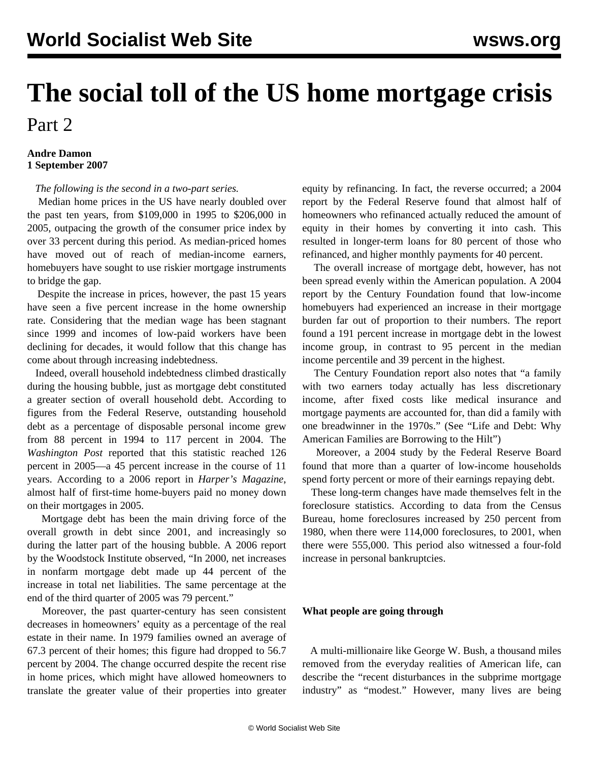## **The social toll of the US home mortgage crisis** Part 2

## **Andre Damon 1 September 2007**

*The following is the second in a two-part series.*

 Median home prices in the US have nearly doubled over the past ten years, from \$109,000 in 1995 to \$206,000 in 2005, outpacing the growth of the consumer price index by over 33 percent during this period. As median-priced homes have moved out of reach of median-income earners, homebuyers have sought to use riskier mortgage instruments to bridge the gap.

 Despite the increase in prices, however, the past 15 years have seen a five percent increase in the home ownership rate. Considering that the median wage has been stagnant since 1999 and incomes of low-paid workers have been declining for decades, it would follow that this change has come about through increasing indebtedness.

 Indeed, overall household indebtedness climbed drastically during the housing bubble, just as mortgage debt constituted a greater section of overall household debt. According to figures from the Federal Reserve, outstanding household debt as a percentage of disposable personal income grew from 88 percent in 1994 to 117 percent in 2004. The *Washington Post* reported that this statistic reached 126 percent in 2005—a 45 percent increase in the course of 11 years. According to a 2006 report in *Harper's Magazine*, almost half of first-time home-buyers paid no money down on their mortgages in 2005.

 Mortgage debt has been the main driving force of the overall growth in debt since 2001, and increasingly so during the latter part of the housing bubble. A 2006 report by the Woodstock Institute observed, "In 2000, net increases in nonfarm mortgage debt made up 44 percent of the increase in total net liabilities. The same percentage at the end of the third quarter of 2005 was 79 percent."

 Moreover, the past quarter-century has seen consistent decreases in homeowners' equity as a percentage of the real estate in their name. In 1979 families owned an average of 67.3 percent of their homes; this figure had dropped to 56.7 percent by 2004. The change occurred despite the recent rise in home prices, which might have allowed homeowners to translate the greater value of their properties into greater equity by refinancing. In fact, the reverse occurred; a 2004 report by the Federal Reserve found that almost half of homeowners who refinanced actually reduced the amount of equity in their homes by converting it into cash. This resulted in longer-term loans for 80 percent of those who refinanced, and higher monthly payments for 40 percent.

 The overall increase of mortgage debt, however, has not been spread evenly within the American population. A 2004 report by the Century Foundation found that low-income homebuyers had experienced an increase in their mortgage burden far out of proportion to their numbers. The report found a 191 percent increase in mortgage debt in the lowest income group, in contrast to 95 percent in the median income percentile and 39 percent in the highest.

 The Century Foundation report also notes that "a family with two earners today actually has less discretionary income, after fixed costs like medical insurance and mortgage payments are accounted for, than did a family with one breadwinner in the 1970s." (See "Life and Debt: Why American Families are Borrowing to the Hilt")

 Moreover, a 2004 study by the Federal Reserve Board found that more than a quarter of low-income households spend forty percent or more of their earnings repaying debt.

 These long-term changes have made themselves felt in the foreclosure statistics. According to data from the Census Bureau, home foreclosures increased by 250 percent from 1980, when there were 114,000 foreclosures, to 2001, when there were 555,000. This period also witnessed a four-fold increase in personal bankruptcies.

## **What people are going through**

 A multi-millionaire like George W. Bush, a thousand miles removed from the everyday realities of American life, can describe the "recent disturbances in the subprime mortgage industry" as "modest." However, many lives are being